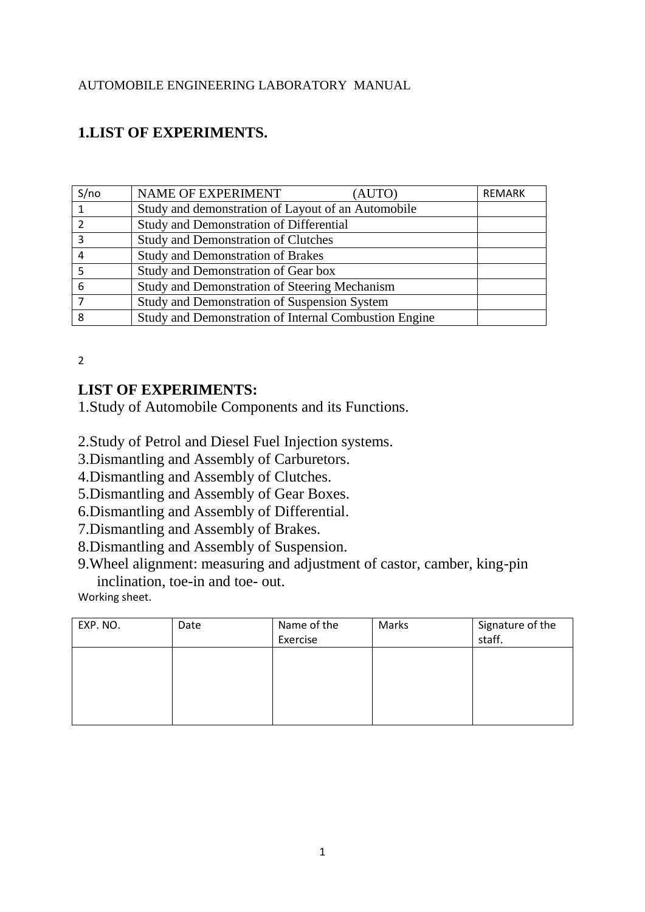# AUTOMOBILE ENGINEERING LABORATORY MANUAL

# **1.LIST OF EXPERIMENTS.**

| S/no | NAME OF EXPERIMENT<br>(AUTO)                          | <b>REMARK</b> |
|------|-------------------------------------------------------|---------------|
|      | Study and demonstration of Layout of an Automobile    |               |
|      | Study and Demonstration of Differential               |               |
| -3   | <b>Study and Demonstration of Clutches</b>            |               |
|      | <b>Study and Demonstration of Brakes</b>              |               |
|      | Study and Demonstration of Gear box                   |               |
| - 6  | Study and Demonstration of Steering Mechanism         |               |
|      | Study and Demonstration of Suspension System          |               |
| 8    | Study and Demonstration of Internal Combustion Engine |               |

2

# **LIST OF EXPERIMENTS:**

1.Study of Automobile Components and its Functions.

- 2.Study of Petrol and Diesel Fuel Injection systems.
- 3.Dismantling and Assembly of Carburetors.
- 4.Dismantling and Assembly of Clutches.
- 5.Dismantling and Assembly of Gear Boxes.
- 6.Dismantling and Assembly of Differential.
- 7.Dismantling and Assembly of Brakes.
- 8.Dismantling and Assembly of Suspension.
- 9.Wheel alignment: measuring and adjustment of castor, camber, king-pin inclination, toe-in and toe- out.

Working sheet.

| EXP. NO. | Date | Name of the<br>Exercise | Marks | Signature of the<br>staff. |
|----------|------|-------------------------|-------|----------------------------|
|          |      |                         |       |                            |
|          |      |                         |       |                            |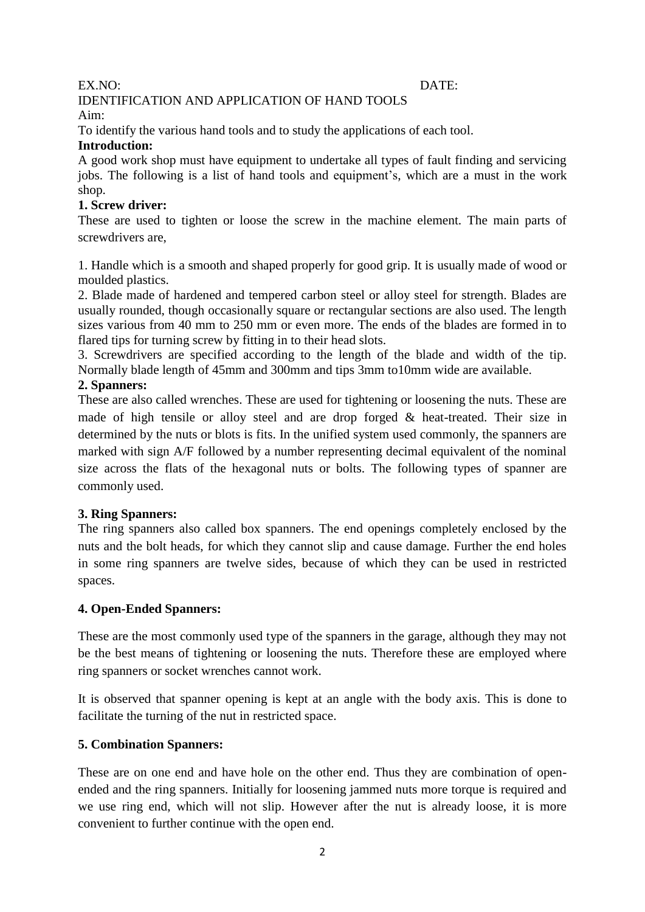## EX.NO: DATE:

IDENTIFICATION AND APPLICATION OF HAND TOOLS Aim:

To identify the various hand tools and to study the applications of each tool.

# **Introduction:**

A good work shop must have equipment to undertake all types of fault finding and servicing jobs. The following is a list of hand tools and equipment's, which are a must in the work shop.

### **1. Screw driver:**

These are used to tighten or loose the screw in the machine element. The main parts of screwdrivers are,

1. Handle which is a smooth and shaped properly for good grip. It is usually made of wood or moulded plastics.

2. Blade made of hardened and tempered carbon steel or alloy steel for strength. Blades are usually rounded, though occasionally square or rectangular sections are also used. The length sizes various from 40 mm to 250 mm or even more. The ends of the blades are formed in to flared tips for turning screw by fitting in to their head slots.

3. Screwdrivers are specified according to the length of the blade and width of the tip. Normally blade length of 45mm and 300mm and tips 3mm to10mm wide are available.

## **2. Spanners:**

These are also called wrenches. These are used for tightening or loosening the nuts. These are made of high tensile or alloy steel and are drop forged & heat-treated. Their size in determined by the nuts or blots is fits. In the unified system used commonly, the spanners are marked with sign A/F followed by a number representing decimal equivalent of the nominal size across the flats of the hexagonal nuts or bolts. The following types of spanner are commonly used.

## **3. Ring Spanners:**

The ring spanners also called box spanners. The end openings completely enclosed by the nuts and the bolt heads, for which they cannot slip and cause damage. Further the end holes in some ring spanners are twelve sides, because of which they can be used in restricted spaces.

## **4. Open-Ended Spanners:**

These are the most commonly used type of the spanners in the garage, although they may not be the best means of tightening or loosening the nuts. Therefore these are employed where ring spanners or socket wrenches cannot work.

It is observed that spanner opening is kept at an angle with the body axis. This is done to facilitate the turning of the nut in restricted space.

## **5. Combination Spanners:**

These are on one end and have hole on the other end. Thus they are combination of openended and the ring spanners. Initially for loosening jammed nuts more torque is required and we use ring end, which will not slip. However after the nut is already loose, it is more convenient to further continue with the open end.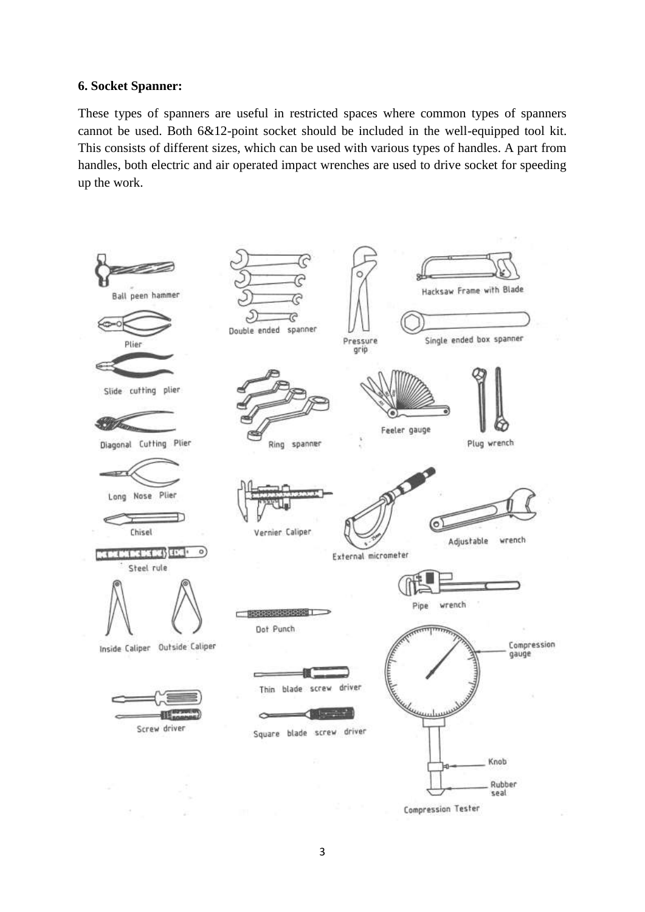#### **6. Socket Spanner:**

These types of spanners are useful in restricted spaces where common types of spanners cannot be used. Both 6&12-point socket should be included in the well-equipped tool kit. This consists of different sizes, which can be used with various types of handles. A part from handles, both electric and air operated impact wrenches are used to drive socket for speeding up the work.

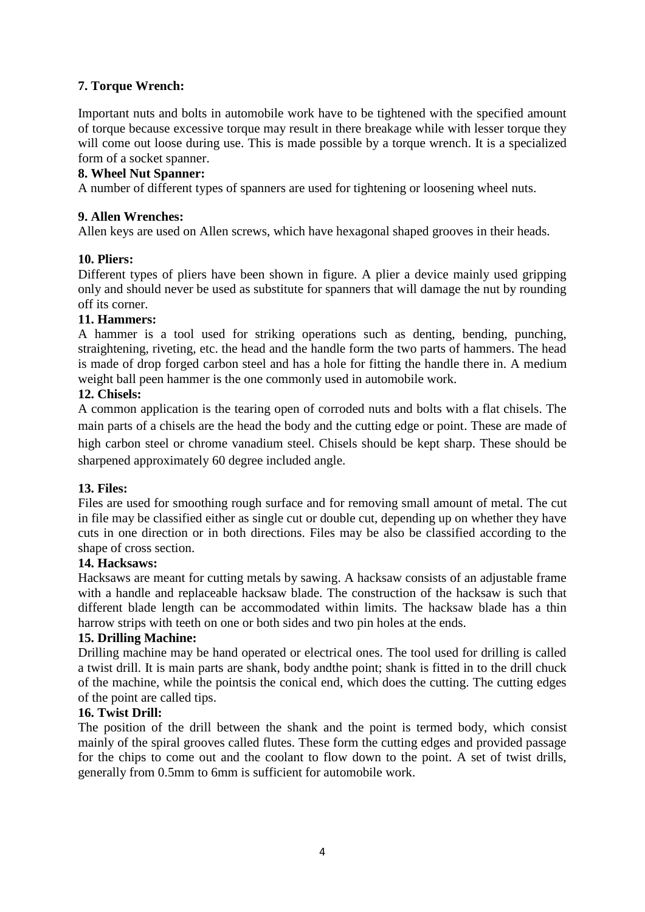# **7. Torque Wrench:**

Important nuts and bolts in automobile work have to be tightened with the specified amount of torque because excessive torque may result in there breakage while with lesser torque they will come out loose during use. This is made possible by a torque wrench. It is a specialized form of a socket spanner.

## **8. Wheel Nut Spanner:**

A number of different types of spanners are used for tightening or loosening wheel nuts.

#### **9. Allen Wrenches:**

Allen keys are used on Allen screws, which have hexagonal shaped grooves in their heads.

### **10. Pliers:**

Different types of pliers have been shown in figure. A plier a device mainly used gripping only and should never be used as substitute for spanners that will damage the nut by rounding off its corner.

#### **11. Hammers:**

A hammer is a tool used for striking operations such as denting, bending, punching, straightening, riveting, etc. the head and the handle form the two parts of hammers. The head is made of drop forged carbon steel and has a hole for fitting the handle there in. A medium weight ball peen hammer is the one commonly used in automobile work.

### **12. Chisels:**

A common application is the tearing open of corroded nuts and bolts with a flat chisels. The main parts of a chisels are the head the body and the cutting edge or point. These are made of high carbon steel or chrome vanadium steel. Chisels should be kept sharp. These should be sharpened approximately 60 degree included angle.

#### **13. Files:**

Files are used for smoothing rough surface and for removing small amount of metal. The cut in file may be classified either as single cut or double cut, depending up on whether they have cuts in one direction or in both directions. Files may be also be classified according to the shape of cross section.

### **14. Hacksaws:**

Hacksaws are meant for cutting metals by sawing. A hacksaw consists of an adjustable frame with a handle and replaceable hacksaw blade. The construction of the hacksaw is such that different blade length can be accommodated within limits. The hacksaw blade has a thin harrow strips with teeth on one or both sides and two pin holes at the ends.

### **15. Drilling Machine:**

Drilling machine may be hand operated or electrical ones. The tool used for drilling is called a twist drill. It is main parts are shank, body andthe point; shank is fitted in to the drill chuck of the machine, while the pointsis the conical end, which does the cutting. The cutting edges of the point are called tips.

#### **16. Twist Drill:**

The position of the drill between the shank and the point is termed body, which consist mainly of the spiral grooves called flutes. These form the cutting edges and provided passage for the chips to come out and the coolant to flow down to the point. A set of twist drills, generally from 0.5mm to 6mm is sufficient for automobile work.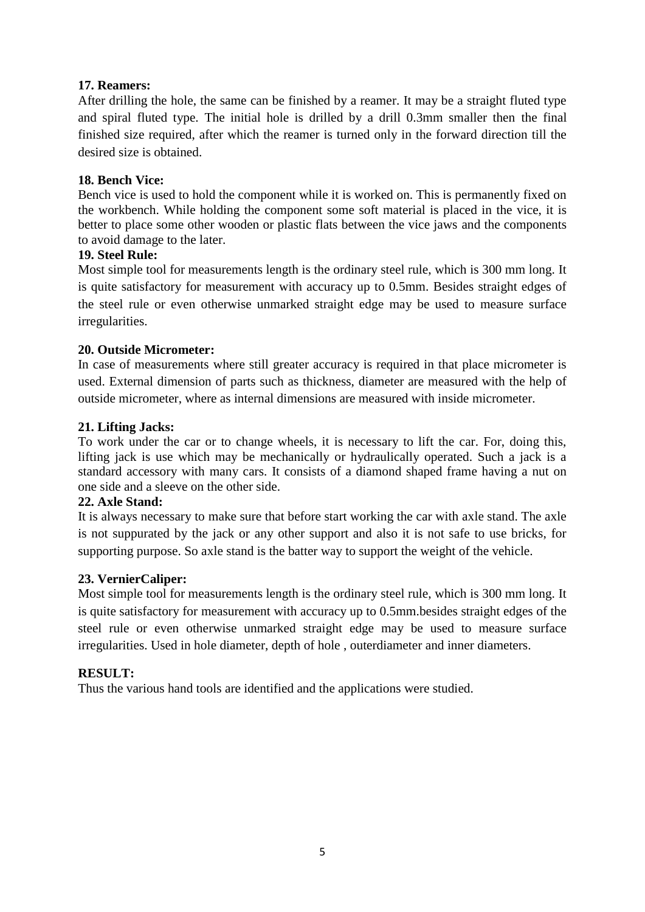## **17. Reamers:**

After drilling the hole, the same can be finished by a reamer. It may be a straight fluted type and spiral fluted type. The initial hole is drilled by a drill 0.3mm smaller then the final finished size required, after which the reamer is turned only in the forward direction till the desired size is obtained.

#### **18. Bench Vice:**

Bench vice is used to hold the component while it is worked on. This is permanently fixed on the workbench. While holding the component some soft material is placed in the vice, it is better to place some other wooden or plastic flats between the vice jaws and the components to avoid damage to the later.

## **19. Steel Rule:**

Most simple tool for measurements length is the ordinary steel rule, which is 300 mm long. It is quite satisfactory for measurement with accuracy up to 0.5mm. Besides straight edges of the steel rule or even otherwise unmarked straight edge may be used to measure surface irregularities.

### **20. Outside Micrometer:**

In case of measurements where still greater accuracy is required in that place micrometer is used. External dimension of parts such as thickness, diameter are measured with the help of outside micrometer, where as internal dimensions are measured with inside micrometer.

### **21. Lifting Jacks:**

To work under the car or to change wheels, it is necessary to lift the car. For, doing this, lifting jack is use which may be mechanically or hydraulically operated. Such a jack is a standard accessory with many cars. It consists of a diamond shaped frame having a nut on one side and a sleeve on the other side.

#### **22. Axle Stand:**

It is always necessary to make sure that before start working the car with axle stand. The axle is not suppurated by the jack or any other support and also it is not safe to use bricks, for supporting purpose. So axle stand is the batter way to support the weight of the vehicle.

## **23. VernierCaliper:**

Most simple tool for measurements length is the ordinary steel rule, which is 300 mm long. It is quite satisfactory for measurement with accuracy up to 0.5mm.besides straight edges of the steel rule or even otherwise unmarked straight edge may be used to measure surface irregularities. Used in hole diameter, depth of hole , outerdiameter and inner diameters.

#### **RESULT:**

Thus the various hand tools are identified and the applications were studied.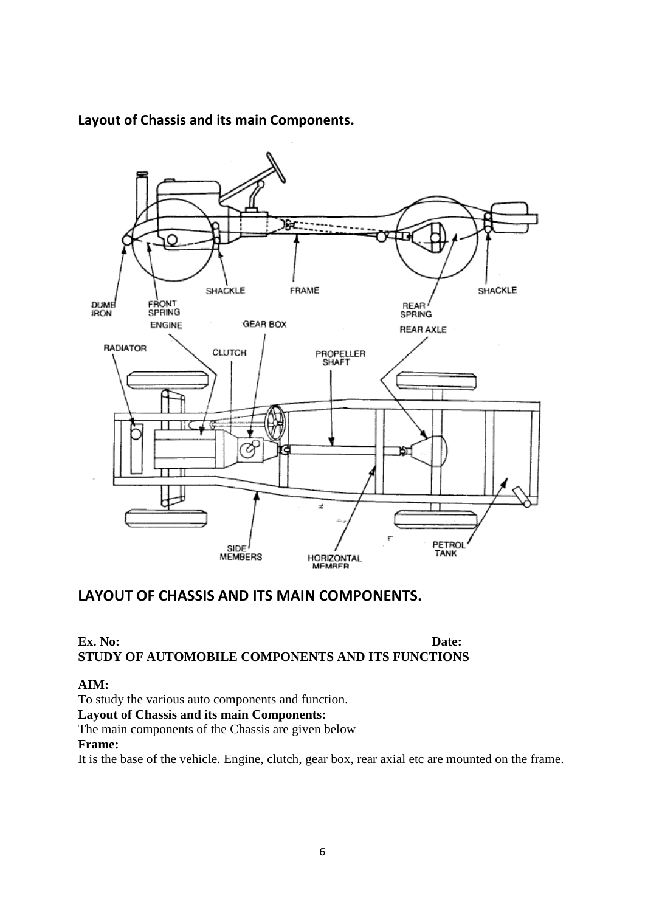

# **Layout of Chassis and its main Components.**

# **LAYOUT OF CHASSIS AND ITS MAIN COMPONENTS.**

# **Ex. No: Date: STUDY OF AUTOMOBILE COMPONENTS AND ITS FUNCTIONS**

## **AIM:**

To study the various auto components and function. **Layout of Chassis and its main Components:**  The main components of the Chassis are given below **Frame:**  It is the base of the vehicle. Engine, clutch, gear box, rear axial etc are mounted on the frame.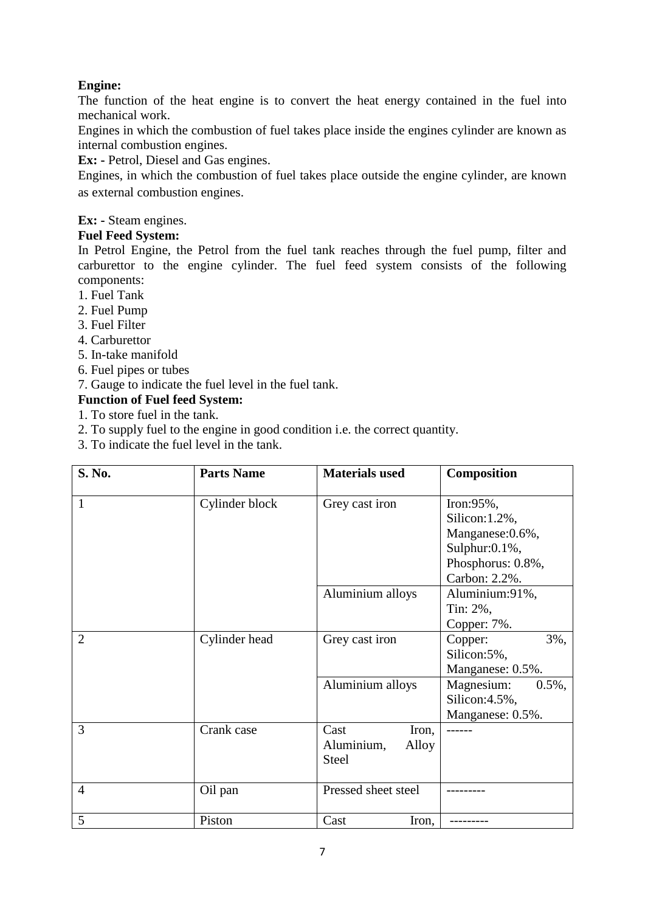# **Engine:**

The function of the heat engine is to convert the heat energy contained in the fuel into mechanical work.

Engines in which the combustion of fuel takes place inside the engines cylinder are known as internal combustion engines.

**Ex: -** Petrol, Diesel and Gas engines.

Engines, in which the combustion of fuel takes place outside the engine cylinder, are known as external combustion engines.

**Ex: -** Steam engines.

# **Fuel Feed System:**

In Petrol Engine, the Petrol from the fuel tank reaches through the fuel pump, filter and carburettor to the engine cylinder. The fuel feed system consists of the following components:

- 1. Fuel Tank
- 2. Fuel Pump
- 3. Fuel Filter
- 4. Carburettor
- 5. In-take manifold
- 6. Fuel pipes or tubes

7. Gauge to indicate the fuel level in the fuel tank.

# **Function of Fuel feed System:**

- 1. To store fuel in the tank.
- 2. To supply fuel to the engine in good condition i.e. the correct quantity.
- 3. To indicate the fuel level in the tank.

| <b>S. No.</b>  | <b>Parts Name</b>                | <b>Materials used</b>                                | Composition                                                                                            |
|----------------|----------------------------------|------------------------------------------------------|--------------------------------------------------------------------------------------------------------|
| $\mathbf{1}$   | Cylinder block<br>Grey cast iron |                                                      | Iron:95%,<br>Silicon: 1.2%,<br>Manganese: 0.6%,<br>Sulphur:0.1%,<br>Phosphorus: 0.8%,<br>Carbon: 2.2%. |
|                |                                  | Aluminium alloys                                     | Aluminium:91%,<br>Tin: 2%,<br>Copper: 7%.                                                              |
| $\overline{2}$ | Cylinder head                    | Grey cast iron                                       | 3%,<br>Copper:<br>Silicon:5%,<br>Manganese: 0.5%.                                                      |
|                |                                  | Aluminium alloys                                     | Magnesium:<br>$0.5\%$ ,<br>Silicon: 4.5%,<br>Manganese: 0.5%.                                          |
| 3              | Crank case                       | Cast<br>Iron,<br>Aluminium,<br>Alloy<br><b>Steel</b> |                                                                                                        |
| $\overline{4}$ | Oil pan                          | Pressed sheet steel                                  |                                                                                                        |
| 5              | Piston                           | Cast<br>Iron,                                        |                                                                                                        |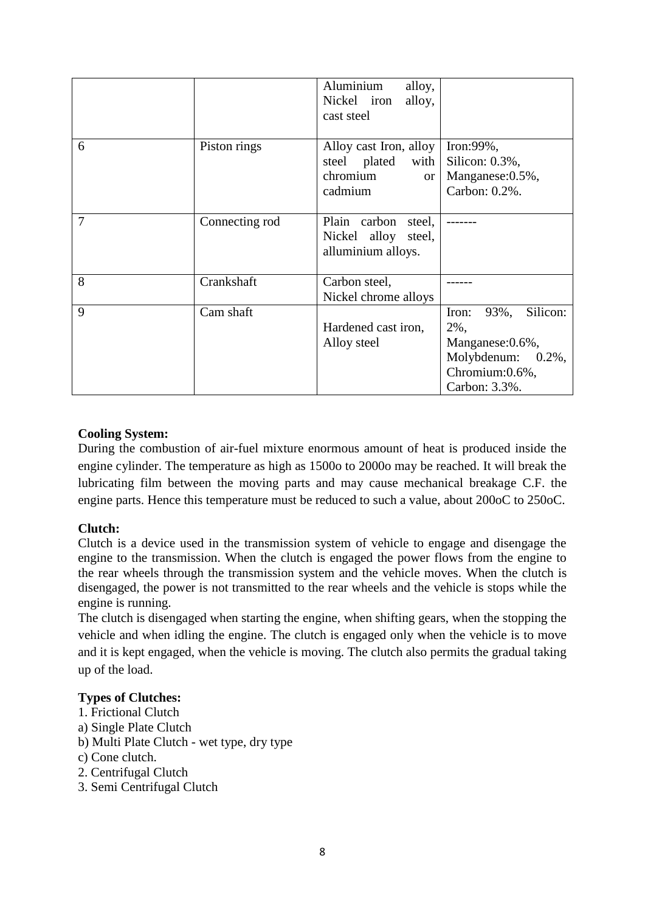|   |                | Aluminium<br>alloy,<br>alloy,<br>Nickel iron<br>cast steel                          |                                                                                                              |
|---|----------------|-------------------------------------------------------------------------------------|--------------------------------------------------------------------------------------------------------------|
| 6 | Piston rings   | Alloy cast Iron, alloy<br>steel plated with<br>chromium<br><sub>or</sub><br>cadmium | Iron: $99\%$ ,<br>Silicon: 0.3%,<br>Manganese: 0.5%,<br>Carbon: 0.2%.                                        |
| 7 | Connecting rod | Plain carbon<br>steel,<br>Nickel alloy steel,<br>alluminium alloys.                 |                                                                                                              |
| 8 | Crankshaft     | Carbon steel,<br>Nickel chrome alloys                                               |                                                                                                              |
| 9 | Cam shaft      | Hardened cast iron,<br>Alloy steel                                                  | Silicon:<br>93%,<br>Iron:<br>2%,<br>Manganese: 0.6%,<br>Molybdenum: 0.2%,<br>Chromium:0.6%,<br>Carbon: 3.3%. |

## **Cooling System:**

During the combustion of air-fuel mixture enormous amount of heat is produced inside the engine cylinder. The temperature as high as 1500o to 2000o may be reached. It will break the lubricating film between the moving parts and may cause mechanical breakage C.F. the engine parts. Hence this temperature must be reduced to such a value, about 200oC to 250oC.

## **Clutch:**

Clutch is a device used in the transmission system of vehicle to engage and disengage the engine to the transmission. When the clutch is engaged the power flows from the engine to the rear wheels through the transmission system and the vehicle moves. When the clutch is disengaged, the power is not transmitted to the rear wheels and the vehicle is stops while the engine is running.

The clutch is disengaged when starting the engine, when shifting gears, when the stopping the vehicle and when idling the engine. The clutch is engaged only when the vehicle is to move and it is kept engaged, when the vehicle is moving. The clutch also permits the gradual taking up of the load.

#### **Types of Clutches:**

- 1. Frictional Clutch a) Single Plate Clutch b) Multi Plate Clutch - wet type, dry type
- c) Cone clutch.
- 2. Centrifugal Clutch
- 3. Semi Centrifugal Clutch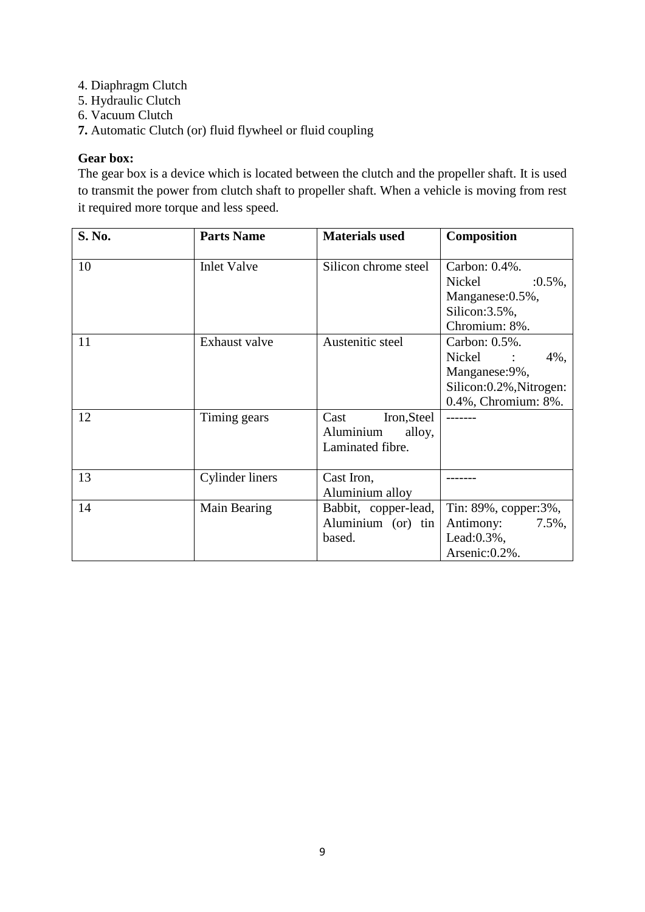- 4. Diaphragm Clutch
- 5. Hydraulic Clutch
- 6. Vacuum Clutch
- **7.** Automatic Clutch (or) fluid flywheel or fluid coupling

# **Gear box:**

The gear box is a device which is located between the clutch and the propeller shaft. It is used to transmit the power from clutch shaft to propeller shaft. When a vehicle is moving from rest it required more torque and less speed.

| S. No. | <b>Parts Name</b>      | <b>Materials used</b>                                          | Composition                                                                                              |
|--------|------------------------|----------------------------------------------------------------|----------------------------------------------------------------------------------------------------------|
| 10     | <b>Inlet Valve</b>     | Silicon chrome steel                                           | Carbon: 0.4%.<br>Nickel<br>$:0.5\%$ ,<br>Manganese: 0.5%,<br>Silicon: 3.5%,<br>Chromium: 8%.             |
| 11     | <b>Exhaust</b> valve   | Austenitic steel                                               | Carbon: 0.5%.<br>Nickel :<br>$4\%$ ,<br>Manganese:9%,<br>Silicon: 0.2%, Nitrogen:<br>0.4%, Chromium: 8%. |
| 12     | Timing gears           | Cast<br>Iron, Steel<br>Aluminium<br>alloy,<br>Laminated fibre. |                                                                                                          |
| 13     | <b>Cylinder liners</b> | Cast Iron,<br>Aluminium alloy                                  |                                                                                                          |
| 14     | Main Bearing           | Babbit, copper-lead,<br>Aluminium (or) tin<br>based.           | Tin: 89%, copper:3%,<br>Antimony:<br>$7.5\%$ ,<br>Lead: $0.3\%$ ,<br>Arsenic: 0.2%.                      |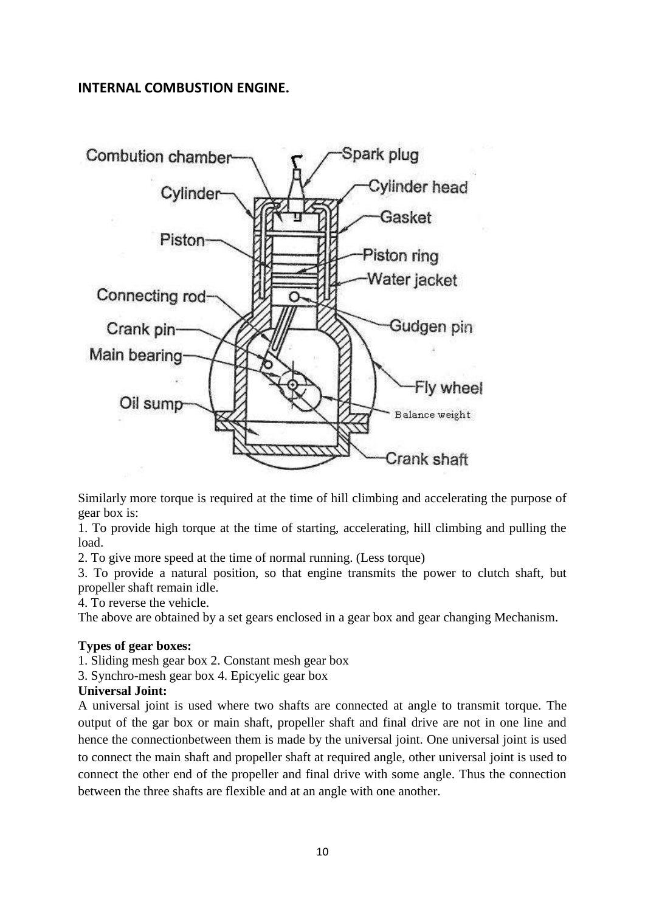# **INTERNAL COMBUSTION ENGINE.**



Similarly more torque is required at the time of hill climbing and accelerating the purpose of gear box is:

1. To provide high torque at the time of starting, accelerating, hill climbing and pulling the load.

2. To give more speed at the time of normal running. (Less torque)

3. To provide a natural position, so that engine transmits the power to clutch shaft, but propeller shaft remain idle.

4. To reverse the vehicle.

The above are obtained by a set gears enclosed in a gear box and gear changing Mechanism.

#### **Types of gear boxes:**

1. Sliding mesh gear box 2. Constant mesh gear box

3. Synchro-mesh gear box 4. Epicyelic gear box

#### **Universal Joint:**

A universal joint is used where two shafts are connected at angle to transmit torque. The output of the gar box or main shaft, propeller shaft and final drive are not in one line and hence the connectionbetween them is made by the universal joint. One universal joint is used to connect the main shaft and propeller shaft at required angle, other universal joint is used to connect the other end of the propeller and final drive with some angle. Thus the connection between the three shafts are flexible and at an angle with one another.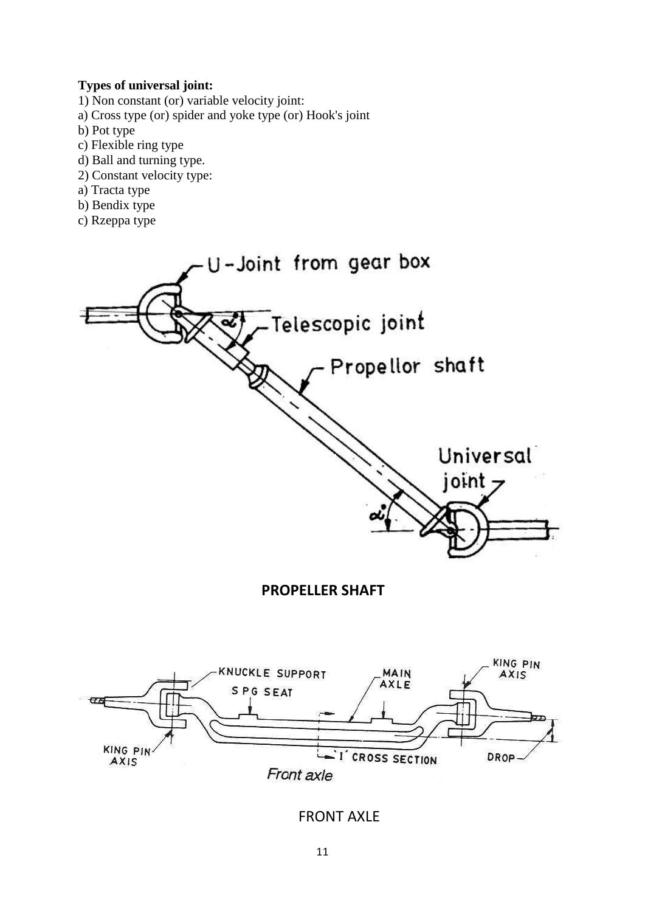#### **Types of universal joint:**

- 1) Non constant (or) variable velocity joint:
- a) Cross type (or) spider and yoke type (or) Hook's joint
- b) Pot type
- c) Flexible ring type
- d) Ball and turning type.
- 2) Constant velocity type:
- a) Tracta type
- b) Bendix type
- c) Rzeppa type



FRONT AXLE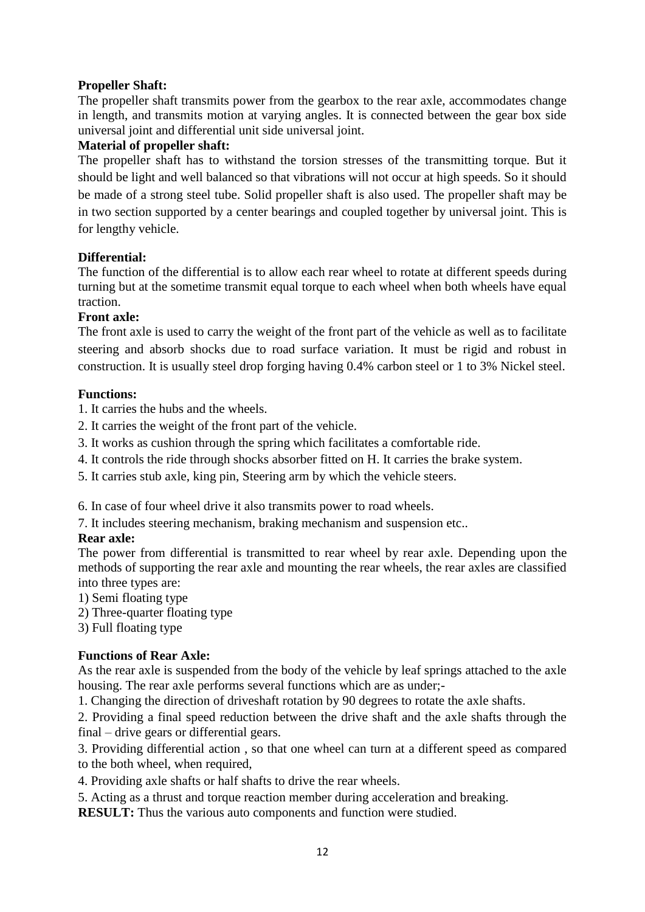## **Propeller Shaft:**

The propeller shaft transmits power from the gearbox to the rear axle, accommodates change in length, and transmits motion at varying angles. It is connected between the gear box side universal joint and differential unit side universal joint.

## **Material of propeller shaft:**

The propeller shaft has to withstand the torsion stresses of the transmitting torque. But it should be light and well balanced so that vibrations will not occur at high speeds. So it should be made of a strong steel tube. Solid propeller shaft is also used. The propeller shaft may be in two section supported by a center bearings and coupled together by universal joint. This is for lengthy vehicle.

### **Differential:**

The function of the differential is to allow each rear wheel to rotate at different speeds during turning but at the sometime transmit equal torque to each wheel when both wheels have equal traction.

### **Front axle:**

The front axle is used to carry the weight of the front part of the vehicle as well as to facilitate steering and absorb shocks due to road surface variation. It must be rigid and robust in construction. It is usually steel drop forging having 0.4% carbon steel or 1 to 3% Nickel steel.

### **Functions:**

1. It carries the hubs and the wheels.

- 2. It carries the weight of the front part of the vehicle.
- 3. It works as cushion through the spring which facilitates a comfortable ride.
- 4. It controls the ride through shocks absorber fitted on H. It carries the brake system.
- 5. It carries stub axle, king pin, Steering arm by which the vehicle steers.

6. In case of four wheel drive it also transmits power to road wheels.

7. It includes steering mechanism, braking mechanism and suspension etc..

## **Rear axle:**

The power from differential is transmitted to rear wheel by rear axle. Depending upon the methods of supporting the rear axle and mounting the rear wheels, the rear axles are classified into three types are:

1) Semi floating type

- 2) Three-quarter floating type
- 3) Full floating type

## **Functions of Rear Axle:**

As the rear axle is suspended from the body of the vehicle by leaf springs attached to the axle housing. The rear axle performs several functions which are as under;-

1. Changing the direction of driveshaft rotation by 90 degrees to rotate the axle shafts.

2. Providing a final speed reduction between the drive shaft and the axle shafts through the final – drive gears or differential gears.

3. Providing differential action , so that one wheel can turn at a different speed as compared to the both wheel, when required,

- 4. Providing axle shafts or half shafts to drive the rear wheels.
- 5. Acting as a thrust and torque reaction member during acceleration and breaking.

**RESULT:** Thus the various auto components and function were studied.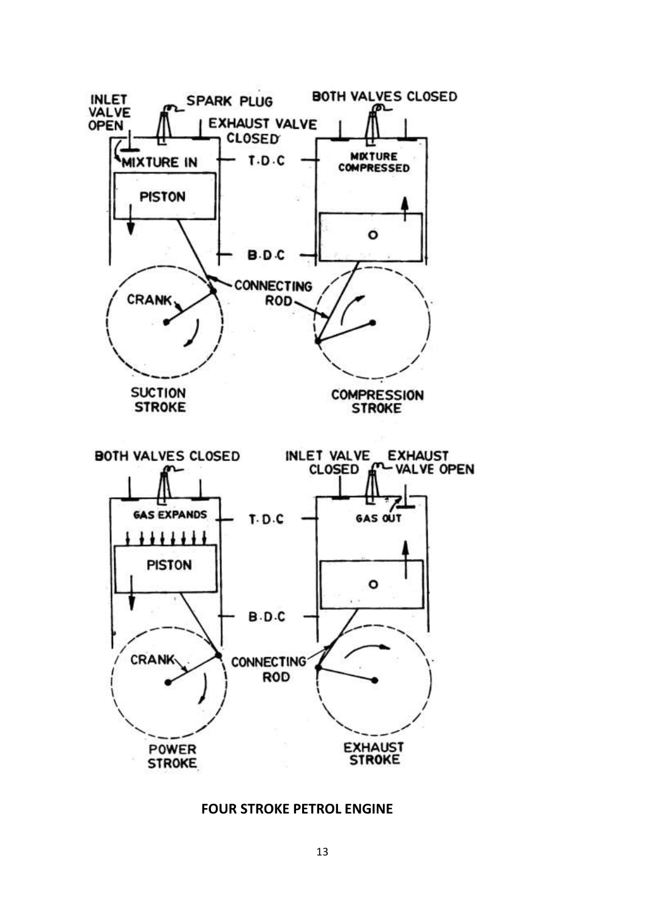

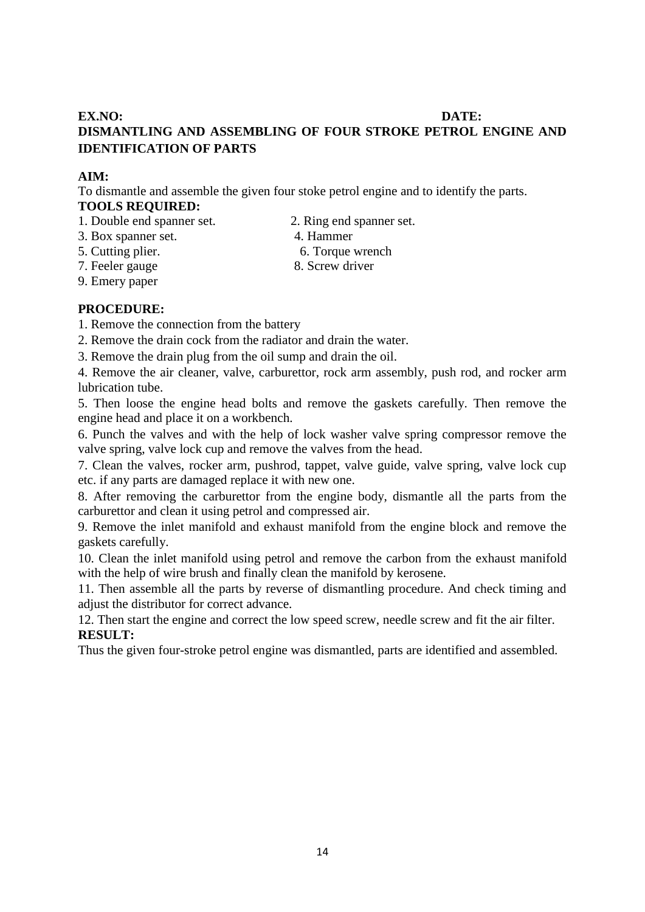# **EX.NO: DATE: DISMANTLING AND ASSEMBLING OF FOUR STROKE PETROL ENGINE AND IDENTIFICATION OF PARTS**

### **AIM:**

To dismantle and assemble the given four stoke petrol engine and to identify the parts.

# **TOOLS REQUIRED:**

- 1. Double end spanner set. 2. Ring end spanner set.
- 3. Box spanner set. 4. Hammer
	-
- 5. Cutting plier. 6. Torque wrench
	-
- 7. Feeler gauge 8. Screw driver
- 9. Emery paper

# **PROCEDURE:**

1. Remove the connection from the battery

- 2. Remove the drain cock from the radiator and drain the water.
- 3. Remove the drain plug from the oil sump and drain the oil.

4. Remove the air cleaner, valve, carburettor, rock arm assembly, push rod, and rocker arm lubrication tube.

5. Then loose the engine head bolts and remove the gaskets carefully. Then remove the engine head and place it on a workbench.

6. Punch the valves and with the help of lock washer valve spring compressor remove the valve spring, valve lock cup and remove the valves from the head.

7. Clean the valves, rocker arm, pushrod, tappet, valve guide, valve spring, valve lock cup etc. if any parts are damaged replace it with new one.

8. After removing the carburettor from the engine body, dismantle all the parts from the carburettor and clean it using petrol and compressed air.

9. Remove the inlet manifold and exhaust manifold from the engine block and remove the gaskets carefully.

10. Clean the inlet manifold using petrol and remove the carbon from the exhaust manifold with the help of wire brush and finally clean the manifold by kerosene.

11. Then assemble all the parts by reverse of dismantling procedure. And check timing and adjust the distributor for correct advance.

12. Then start the engine and correct the low speed screw, needle screw and fit the air filter. **RESULT:** 

Thus the given four-stroke petrol engine was dismantled, parts are identified and assembled.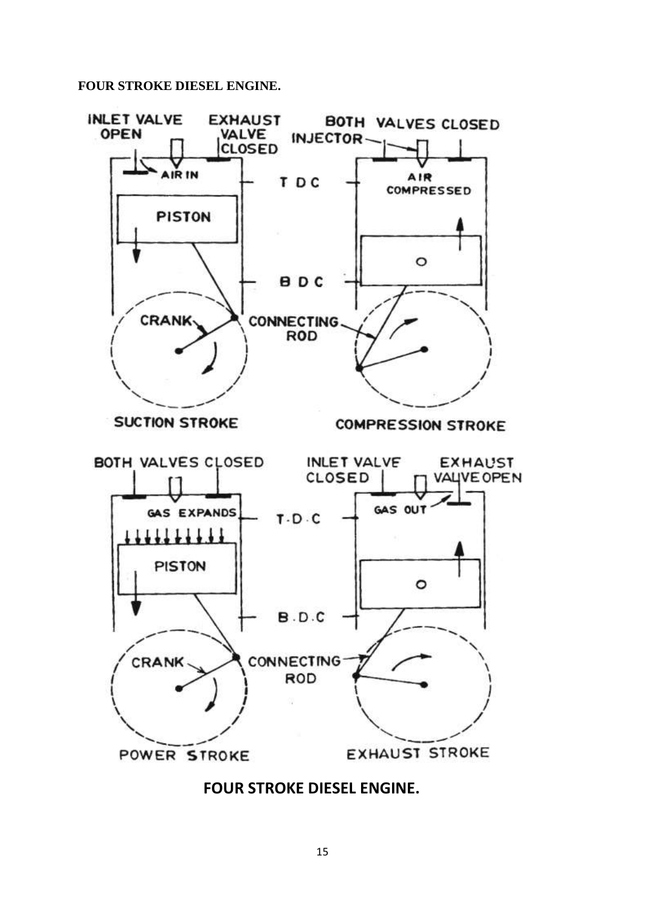**FOUR STROKE DIESEL ENGINE.**



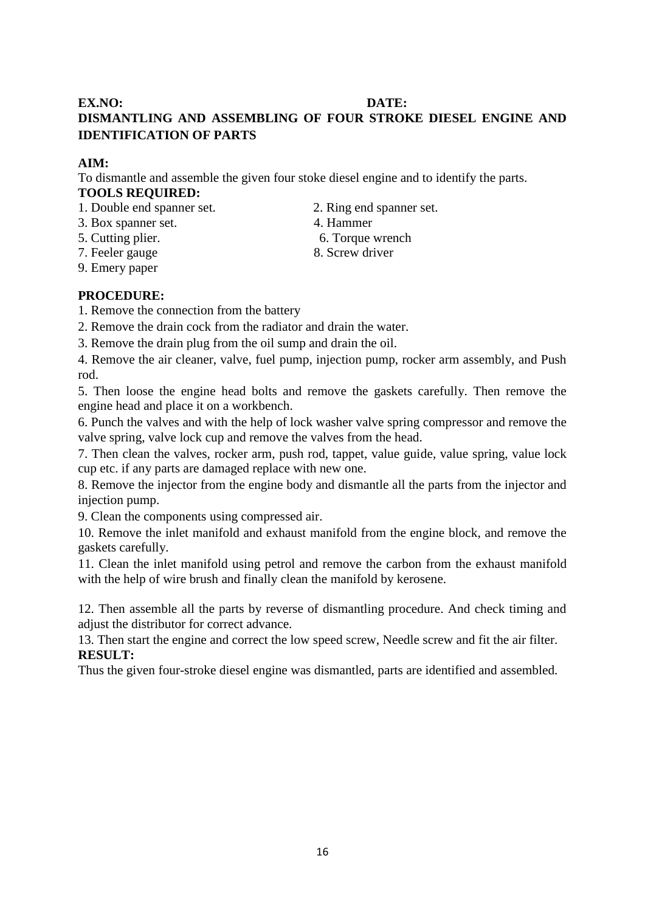## **EX.NO: DATE:**

# **DISMANTLING AND ASSEMBLING OF FOUR STROKE DIESEL ENGINE AND IDENTIFICATION OF PARTS**

## $\Delta$ **IM** $\cdot$

To dismantle and assemble the given four stoke diesel engine and to identify the parts. **TOOLS REQUIRED:** 

- 1. Double end spanner set. 2. Ring end spanner set.
- 3. Box spanner set. 4. Hammer
- 5. Cutting plier. 6. Torque wrench
- 7. Feeler gauge 8. Screw driver
- 9. Emery paper

- **PROCEDURE:**
- 1. Remove the connection from the battery
- 2. Remove the drain cock from the radiator and drain the water.
- 3. Remove the drain plug from the oil sump and drain the oil.

4. Remove the air cleaner, valve, fuel pump, injection pump, rocker arm assembly, and Push rod.

5. Then loose the engine head bolts and remove the gaskets carefully. Then remove the engine head and place it on a workbench.

6. Punch the valves and with the help of lock washer valve spring compressor and remove the valve spring, valve lock cup and remove the valves from the head.

7. Then clean the valves, rocker arm, push rod, tappet, value guide, value spring, value lock cup etc. if any parts are damaged replace with new one.

8. Remove the injector from the engine body and dismantle all the parts from the injector and injection pump.

9. Clean the components using compressed air.

10. Remove the inlet manifold and exhaust manifold from the engine block, and remove the gaskets carefully.

11. Clean the inlet manifold using petrol and remove the carbon from the exhaust manifold with the help of wire brush and finally clean the manifold by kerosene.

12. Then assemble all the parts by reverse of dismantling procedure. And check timing and adjust the distributor for correct advance.

13. Then start the engine and correct the low speed screw, Needle screw and fit the air filter. **RESULT:** 

Thus the given four-stroke diesel engine was dismantled, parts are identified and assembled.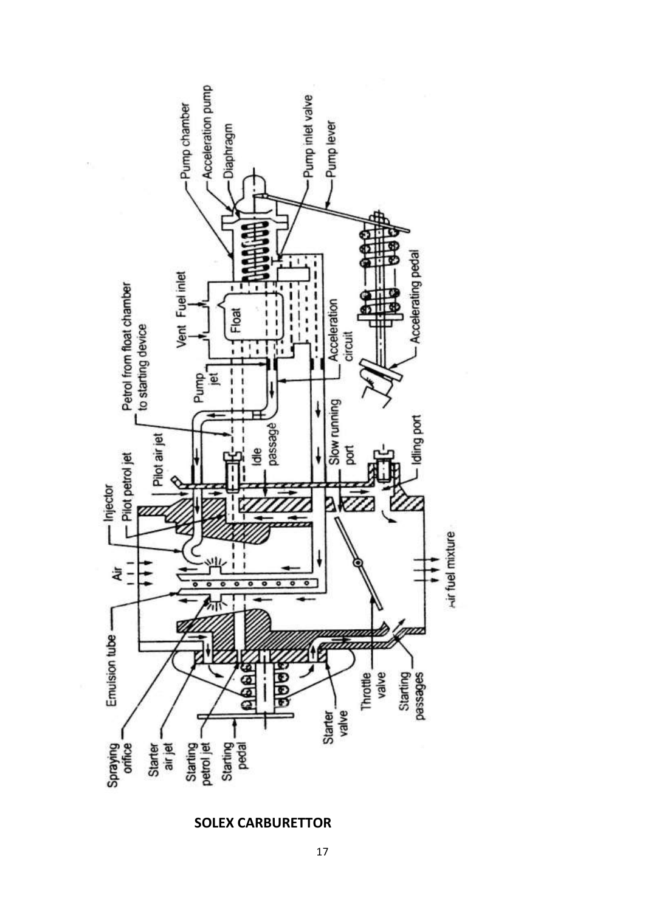

 **SOLEX CARBURETTOR**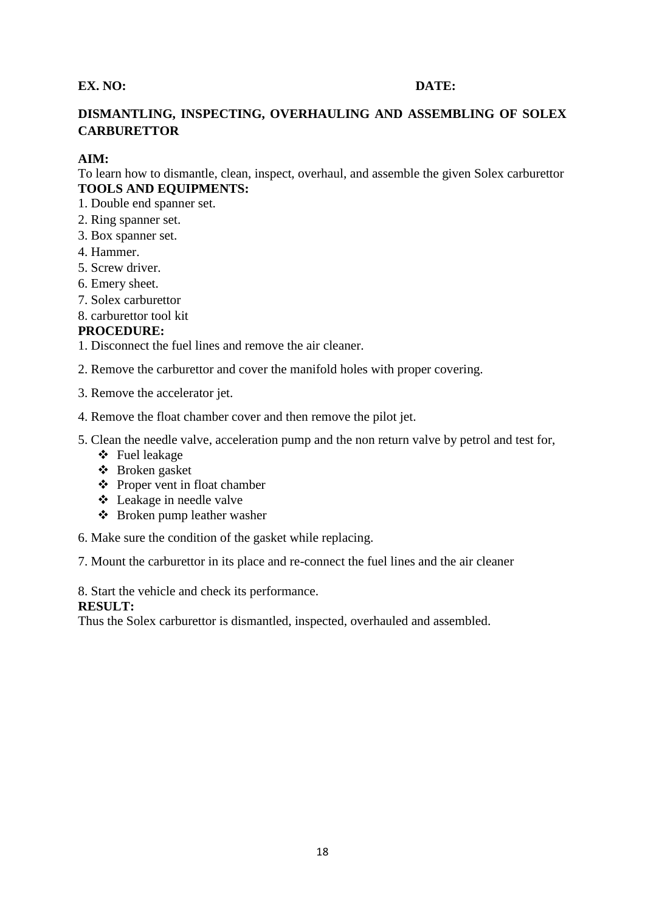## **EX. NO: DATE:**

# **DISMANTLING, INSPECTING, OVERHAULING AND ASSEMBLING OF SOLEX CARBURETTOR**

### **AIM:**

To learn how to dismantle, clean, inspect, overhaul, and assemble the given Solex carburettor **TOOLS AND EQUIPMENTS:** 

- 1. Double end spanner set.
- 2. Ring spanner set.
- 3. Box spanner set.
- 4. Hammer.
- 5. Screw driver.
- 6. Emery sheet.
- 7. Solex carburettor
- 8. carburettor tool kit

### **PROCEDURE:**

- 1. Disconnect the fuel lines and remove the air cleaner.
- 2. Remove the carburettor and cover the manifold holes with proper covering.
- 3. Remove the accelerator jet.
- 4. Remove the float chamber cover and then remove the pilot jet.
- 5. Clean the needle valve, acceleration pump and the non return valve by petrol and test for,
	- Fuel leakage
	- Broken gasket
	- $\triangle$  Proper vent in float chamber
	- Leakage in needle valve
	- Broken pump leather washer
- 6. Make sure the condition of the gasket while replacing.
- 7. Mount the carburettor in its place and re-connect the fuel lines and the air cleaner
- 8. Start the vehicle and check its performance.

#### **RESULT:**

Thus the Solex carburettor is dismantled, inspected, overhauled and assembled.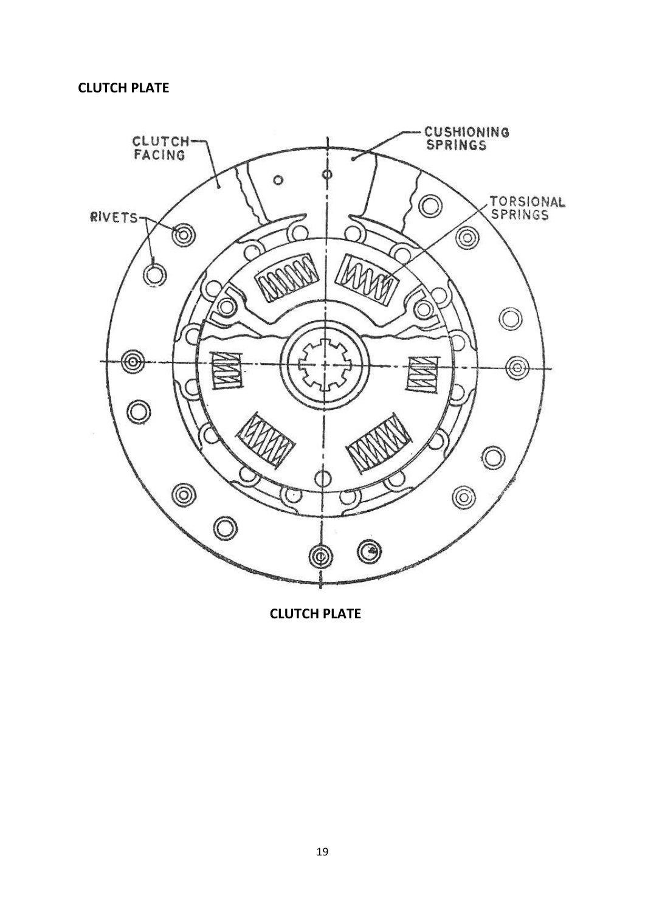# **CLUTCH PLATE**

![](_page_18_Figure_1.jpeg)

 **CLUTCH PLATE**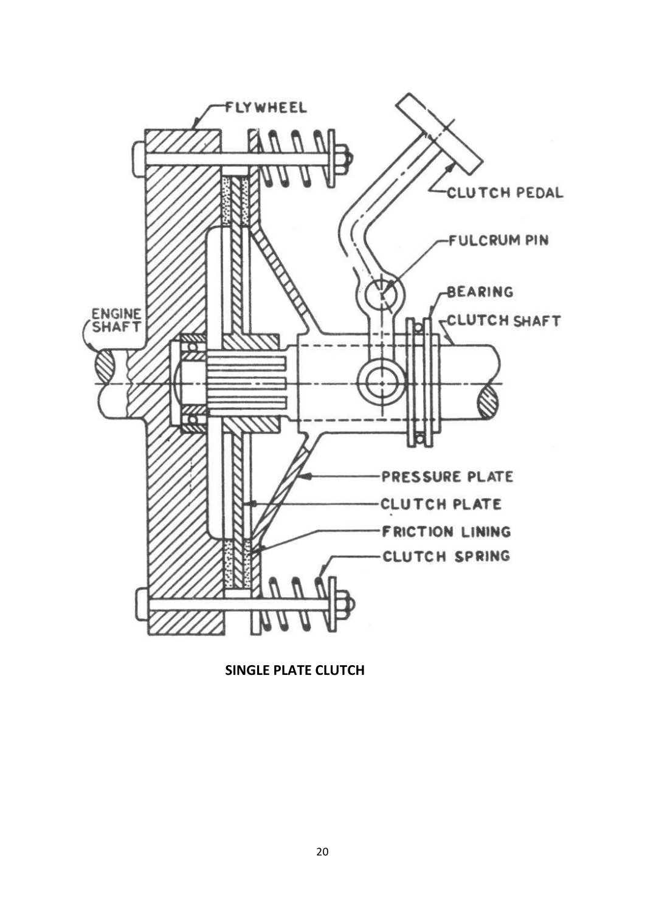![](_page_19_Figure_0.jpeg)

 **SINGLE PLATE CLUTCH**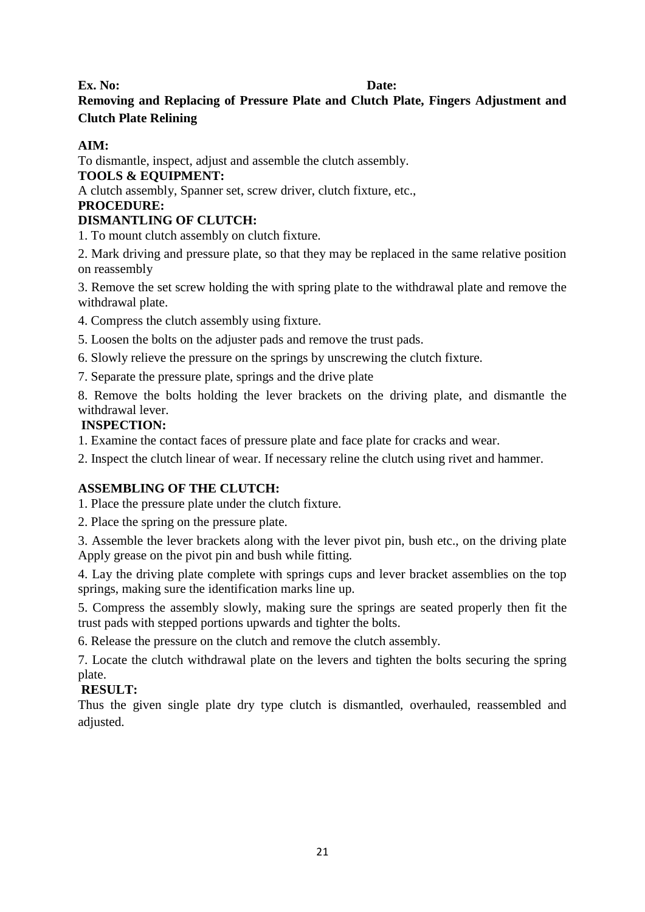**Ex. No: Date:** 

# **Removing and Replacing of Pressure Plate and Clutch Plate, Fingers Adjustment and Clutch Plate Relining**

# **AIM:**

To dismantle, inspect, adjust and assemble the clutch assembly.

# **TOOLS & EQUIPMENT:**

A clutch assembly, Spanner set, screw driver, clutch fixture, etc.,

# **PROCEDURE:**

# **DISMANTLING OF CLUTCH:**

1. To mount clutch assembly on clutch fixture.

2. Mark driving and pressure plate, so that they may be replaced in the same relative position on reassembly

3. Remove the set screw holding the with spring plate to the withdrawal plate and remove the withdrawal plate.

4. Compress the clutch assembly using fixture.

5. Loosen the bolts on the adjuster pads and remove the trust pads.

6. Slowly relieve the pressure on the springs by unscrewing the clutch fixture.

7. Separate the pressure plate, springs and the drive plate

8. Remove the bolts holding the lever brackets on the driving plate, and dismantle the withdrawal lever.

# **INSPECTION:**

1. Examine the contact faces of pressure plate and face plate for cracks and wear.

2. Inspect the clutch linear of wear. If necessary reline the clutch using rivet and hammer.

# **ASSEMBLING OF THE CLUTCH:**

1. Place the pressure plate under the clutch fixture.

2. Place the spring on the pressure plate.

3. Assemble the lever brackets along with the lever pivot pin, bush etc., on the driving plate Apply grease on the pivot pin and bush while fitting.

4. Lay the driving plate complete with springs cups and lever bracket assemblies on the top springs, making sure the identification marks line up.

5. Compress the assembly slowly, making sure the springs are seated properly then fit the trust pads with stepped portions upwards and tighter the bolts.

6. Release the pressure on the clutch and remove the clutch assembly.

7. Locate the clutch withdrawal plate on the levers and tighten the bolts securing the spring plate.

# **RESULT:**

Thus the given single plate dry type clutch is dismantled, overhauled, reassembled and adjusted.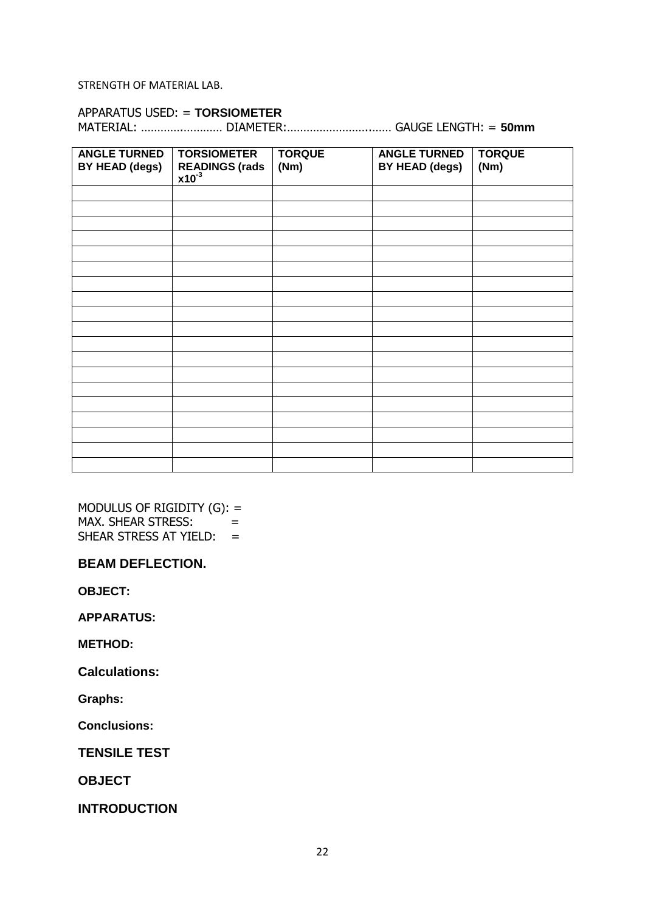STRENGTH OF MATERIAL LAB.

# APPARATUS USED: = **TORSIOMETER**

MATERIAL: ………….………… DIAMETER:……………………..…… GAUGE LENGTH: = **50mm** 

| <b>ANGLE TURNED</b><br><b>BY HEAD (degs)</b> | <b>TORSIOMETER</b><br>READINGS (rads x10 <sup>-3</sup> | <b>TORQUE</b><br>(Nm) | <b>ANGLE TURNED</b><br><b>BY HEAD (degs)</b> | <b>TORQUE</b><br>(Nm) |
|----------------------------------------------|--------------------------------------------------------|-----------------------|----------------------------------------------|-----------------------|
|                                              |                                                        |                       |                                              |                       |
|                                              |                                                        |                       |                                              |                       |
|                                              |                                                        |                       |                                              |                       |
|                                              |                                                        |                       |                                              |                       |
|                                              |                                                        |                       |                                              |                       |
|                                              |                                                        |                       |                                              |                       |
|                                              |                                                        |                       |                                              |                       |
|                                              |                                                        |                       |                                              |                       |
|                                              |                                                        |                       |                                              |                       |
|                                              |                                                        |                       |                                              |                       |
|                                              |                                                        |                       |                                              |                       |
|                                              |                                                        |                       |                                              |                       |
|                                              |                                                        |                       |                                              |                       |
|                                              |                                                        |                       |                                              |                       |
|                                              |                                                        |                       |                                              |                       |
|                                              |                                                        |                       |                                              |                       |
|                                              |                                                        |                       |                                              |                       |
|                                              |                                                        |                       |                                              |                       |
|                                              |                                                        |                       |                                              |                       |

MODULUS OF RIGIDITY (G): = MAX. SHEAR STRESS:  $=$ SHEAR STRESS AT YIELD: =

#### **BEAM DEFLECTION.**

**OBJECT:**

**APPARATUS:** 

**METHOD:**

**Calculations:**

**Graphs:**

**Conclusions:**

**TENSILE TEST**

**OBJECT**

**INTRODUCTION**